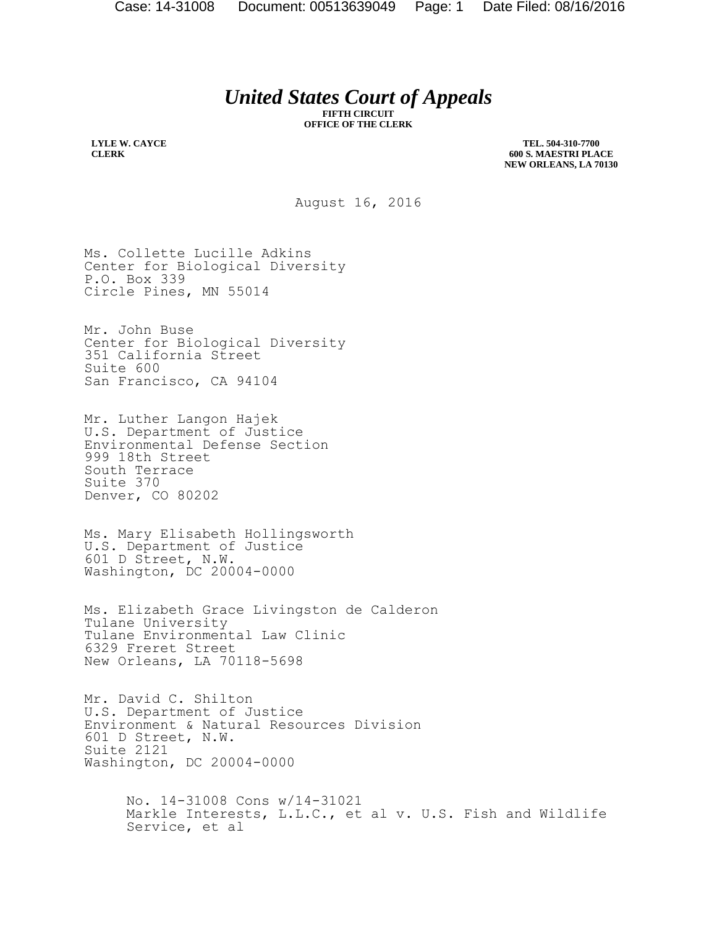## *United States Court of Appeals*

**FIFTH CIRCUIT OFFICE OF THE CLERK**

**LYLE W. CAYCE CLERK**

**TEL. 504-310-7700 600 S. MAESTRI PLACE NEW ORLEANS, LA 70130**

August 16, 2016

Ms. Collette Lucille Adkins Center for Biological Diversity P.O. Box 339 Circle Pines, MN 55014

Mr. John Buse Center for Biological Diversity 351 California Street Suite 600 San Francisco, CA 94104

Mr. Luther Langon Hajek U.S. Department of Justice Environmental Defense Section 999 18th Street South Terrace Suite 370 Denver, CO 80202

Ms. Mary Elisabeth Hollingsworth U.S. Department of Justice 601 D Street, N.W. Washington, DC 20004-0000

Ms. Elizabeth Grace Livingston de Calderon Tulane University Tulane Environmental Law Clinic 6329 Freret Street New Orleans, LA 70118-5698

Mr. David C. Shilton U.S. Department of Justice Environment & Natural Resources Division 601 D Street, N.W. Suite 2121 Washington, DC 20004-0000

> No. 14-31008 Cons w/14-31021 Markle Interests, L.L.C., et al v. U.S. Fish and Wildlife Service, et al